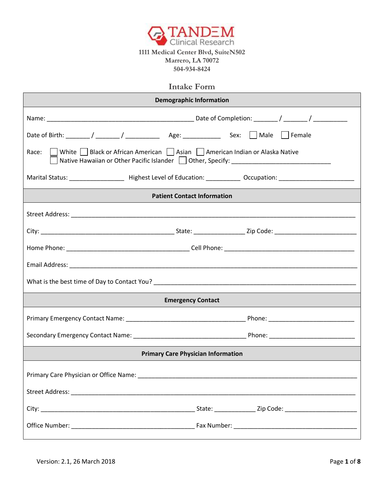

## **Intake Form**

| <b>Demographic Information</b>                                                                                                                                                    |
|-----------------------------------------------------------------------------------------------------------------------------------------------------------------------------------|
|                                                                                                                                                                                   |
|                                                                                                                                                                                   |
| Race:     White     Black or African American     Asian     American Indian or Alaska Native<br>Native Hawaiian or Other Pacific Islander   Other, Specify: _____________________ |
|                                                                                                                                                                                   |
| <b>Patient Contact Information</b>                                                                                                                                                |
|                                                                                                                                                                                   |
|                                                                                                                                                                                   |
|                                                                                                                                                                                   |
|                                                                                                                                                                                   |
|                                                                                                                                                                                   |
| <b>Emergency Contact</b>                                                                                                                                                          |
|                                                                                                                                                                                   |
|                                                                                                                                                                                   |
| <b>Primary Care Physician Information</b>                                                                                                                                         |
|                                                                                                                                                                                   |
|                                                                                                                                                                                   |
|                                                                                                                                                                                   |
|                                                                                                                                                                                   |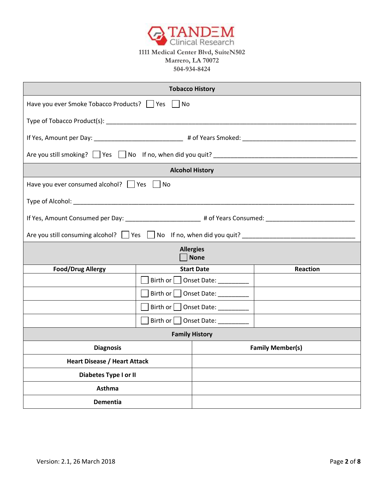

# **Marrero, LA 70072 504-934-8424**

| <b>Tobacco History</b>                                                                                         |                                    |                          |                                                                                                                        |
|----------------------------------------------------------------------------------------------------------------|------------------------------------|--------------------------|------------------------------------------------------------------------------------------------------------------------|
| Have you ever Smoke Tobacco Products?     Yes     No                                                           |                                    |                          |                                                                                                                        |
|                                                                                                                |                                    |                          |                                                                                                                        |
| If Yes, Amount per Day: _________________________________ # of Years Smoked: _________________________________ |                                    |                          |                                                                                                                        |
| Are you still smoking? Yes No If no, when did you quit? _________________________                              |                                    |                          |                                                                                                                        |
| <b>Alcohol History</b>                                                                                         |                                    |                          |                                                                                                                        |
| Have you ever consumed alcohol? $\Box$ Yes $\Box$ No                                                           |                                    |                          |                                                                                                                        |
|                                                                                                                |                                    |                          |                                                                                                                        |
| If Yes, Amount Consumed per Day: ________________________# of Years Consumed: _____________________            |                                    |                          |                                                                                                                        |
| Are you still consuming alcohol? Ves   No If no, when did you quit? ________________________________           |                                    |                          |                                                                                                                        |
|                                                                                                                | <b>Allergies</b>                   | <b>None</b>              |                                                                                                                        |
| <b>Food/Drug Allergy</b>                                                                                       |                                    | <b>Start Date</b>        | Reaction                                                                                                               |
|                                                                                                                | Birth or                           |                          |                                                                                                                        |
|                                                                                                                | Birth or                           | ◯ Onset Date: __________ | <u> 1989 - Johann John Stone, mars et al. 1989 - John Stone, mars et al. 1989 - John Stone, mars et al. 1989 - Joh</u> |
|                                                                                                                | $\vert$ Birth or $\vert$           | Onset Date: __________   |                                                                                                                        |
|                                                                                                                | Birth or<br>Onset Date: __________ |                          |                                                                                                                        |
| <b>Family History</b>                                                                                          |                                    |                          |                                                                                                                        |
| <b>Diagnosis</b>                                                                                               |                                    |                          | <b>Family Member(s)</b>                                                                                                |
| <b>Heart Disease / Heart Attack</b>                                                                            |                                    |                          |                                                                                                                        |
| Diabetes Type I or II                                                                                          |                                    |                          |                                                                                                                        |
| <b>Asthma</b>                                                                                                  |                                    |                          |                                                                                                                        |
| <b>Dementia</b>                                                                                                |                                    |                          |                                                                                                                        |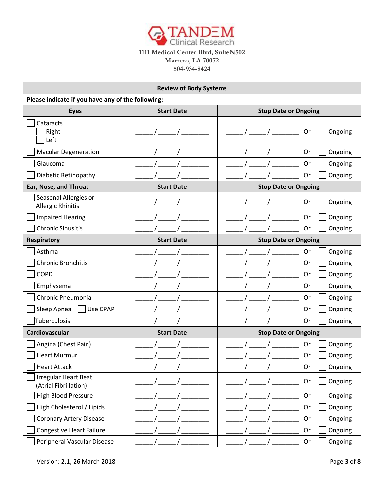

|                                                      | <b>Review of Body Systems</b> |                             |  |
|------------------------------------------------------|-------------------------------|-----------------------------|--|
| Please indicate if you have any of the following:    |                               |                             |  |
| <b>Eyes</b>                                          | <b>Start Date</b>             | <b>Stop Date or Ongoing</b> |  |
| Cataracts<br>Right<br>Left                           |                               | Ongoing<br>Or               |  |
| <b>Macular Degeneration</b>                          |                               | Or<br>Ongoing               |  |
| Glaucoma                                             |                               | Or<br>Ongoing               |  |
| Diabetic Retinopathy                                 |                               | <b>Or</b><br>Ongoing        |  |
| Ear, Nose, and Throat                                | <b>Start Date</b>             | <b>Stop Date or Ongoing</b> |  |
| Seasonal Allergies or<br><b>Allergic Rhinitis</b>    |                               | Ongoing<br>Or               |  |
| <b>Impaired Hearing</b>                              |                               | Ongoing<br><b>Or</b>        |  |
| <b>Chronic Sinusitis</b>                             |                               | Ongoing<br>Or               |  |
| <b>Respiratory</b>                                   | <b>Start Date</b>             | <b>Stop Date or Ongoing</b> |  |
| Asthma                                               |                               | Ongoing<br>Or               |  |
| <b>Chronic Bronchitis</b>                            |                               | Ongoing<br>0r               |  |
| <b>COPD</b>                                          |                               | Or<br>Ongoing               |  |
| Emphysema                                            |                               | Or<br>Ongoing               |  |
| Chronic Pneumonia                                    |                               | Or<br>Ongoing               |  |
| Use CPAP<br>Sleep Apnea                              |                               | Or<br>Ongoing               |  |
| Tuberculosis                                         |                               | Or<br>Ongoing               |  |
| Cardiovascular                                       | <b>Start Date</b>             | <b>Stop Date or Ongoing</b> |  |
| Angina (Chest Pain)                                  |                               | Ongoing<br>Or               |  |
| <b>Heart Murmur</b>                                  |                               | Or<br>Ongoing               |  |
| <b>Heart Attack</b>                                  |                               | Or<br>Ongoing               |  |
| <b>Irregular Heart Beat</b><br>(Atrial Fibrillation) |                               | Ongoing<br>Or               |  |
| <b>High Blood Pressure</b>                           |                               | Or<br>Ongoing               |  |
| High Cholesterol / Lipids                            |                               | Or<br>Ongoing               |  |
| <b>Coronary Artery Disease</b>                       |                               | Or<br>Ongoing               |  |
| <b>Congestive Heart Failure</b>                      |                               | Or<br>Ongoing               |  |
| Peripheral Vascular Disease                          |                               | Ongoing<br>Or               |  |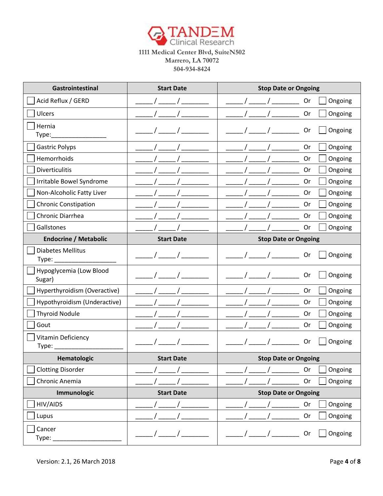

| Gastrointestinal                  | <b>Start Date</b> | <b>Stop Date or Ongoing</b> |
|-----------------------------------|-------------------|-----------------------------|
| Acid Reflux / GERD                |                   | Ongoing<br>Or               |
| Ulcers                            |                   | Or<br>Ongoing               |
| Hernia<br>Type:                   |                   | Ongoing<br>Or               |
| <b>Gastric Polyps</b>             |                   | Ongoing<br>Or               |
| Hemorrhoids                       |                   | Ongoing<br>Or               |
| Diverticulitis                    |                   | Or<br>Ongoing               |
| Irritable Bowel Syndrome          |                   | Ongoing<br>Or               |
| Non-Alcoholic Fatty Liver         |                   | Or<br>Ongoing               |
| <b>Chronic Constipation</b>       |                   | Ongoing<br>Or               |
| Chronic Diarrhea                  |                   | Or<br>Ongoing               |
| Gallstones                        |                   | Ongoing<br>Or               |
| <b>Endocrine / Metabolic</b>      | <b>Start Date</b> | <b>Stop Date or Ongoing</b> |
| <b>Diabetes Mellitus</b>          |                   | Ongoing<br>Or               |
| Hypoglycemia (Low Blood<br>Sugar) |                   | Ongoing<br>Or               |
| Hyperthyroidism (Overactive)      |                   | <b>Or</b><br>Ongoing        |
| Hypothyroidism (Underactive)      |                   | Ongoing<br>Or               |
| <b>Thyroid Nodule</b>             |                   | Or<br>Ongoing               |
| Gout                              |                   | Ongoing<br>Or               |
| Vitamin Deficiency                |                   | Ongoing<br>Or               |
| Hematologic                       | <b>Start Date</b> | <b>Stop Date or Ongoing</b> |
| <b>Clotting Disorder</b>          |                   | Or<br>Ongoing               |
| Chronic Anemia                    |                   | Or<br>Ongoing               |
| Immunologic                       | <b>Start Date</b> | <b>Stop Date or Ongoing</b> |
| HIV/AIDS                          |                   | Ongoing<br>Or               |
| Lupus                             |                   | Or<br>Ongoing               |
| Cancer<br>Type:                   |                   | Ongoing<br>Or               |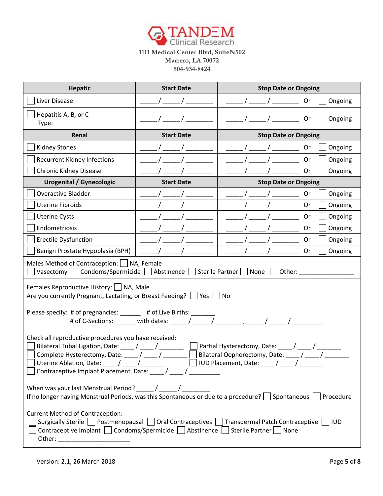

| <b>Hepatic</b>                                                                                                                                                                                                                                                                                                                             | <b>Start Date</b> | <b>Stop Date or Ongoing</b> |  |
|--------------------------------------------------------------------------------------------------------------------------------------------------------------------------------------------------------------------------------------------------------------------------------------------------------------------------------------------|-------------------|-----------------------------|--|
| Liver Disease                                                                                                                                                                                                                                                                                                                              |                   | Ongoing<br>0r               |  |
| Hepatitis A, B, or C<br>Type:                                                                                                                                                                                                                                                                                                              |                   | Ongoing<br>Or               |  |
| Renal                                                                                                                                                                                                                                                                                                                                      | <b>Start Date</b> | <b>Stop Date or Ongoing</b> |  |
| <b>Kidney Stones</b>                                                                                                                                                                                                                                                                                                                       |                   | Ongoing<br>Or               |  |
| <b>Recurrent Kidney Infections</b>                                                                                                                                                                                                                                                                                                         |                   | Ongoing<br><b>Or</b>        |  |
| <b>Chronic Kidney Disease</b>                                                                                                                                                                                                                                                                                                              |                   | 0r<br>Ongoing               |  |
| <b>Urogenital / Gynecologic</b>                                                                                                                                                                                                                                                                                                            | <b>Start Date</b> | <b>Stop Date or Ongoing</b> |  |
| <b>Overactive Bladder</b>                                                                                                                                                                                                                                                                                                                  |                   | 0r<br>Ongoing               |  |
| <b>Uterine Fibroids</b>                                                                                                                                                                                                                                                                                                                    |                   | Ongoing<br>0r               |  |
| <b>Uterine Cysts</b>                                                                                                                                                                                                                                                                                                                       |                   | Or<br>Ongoing               |  |
| Endometriosis                                                                                                                                                                                                                                                                                                                              |                   | Ongoing<br>0r               |  |
| <b>Erectile Dysfunction</b>                                                                                                                                                                                                                                                                                                                |                   | Or<br>Ongoing               |  |
| Benign Prostate Hypoplasia (BPH)                                                                                                                                                                                                                                                                                                           |                   | Ongoing<br><b>Or</b>        |  |
| Males Method of Contraception:   NA, Female<br>Vasectomy $\Box$ Condoms/Spermicide $\Box$ Abstinence $\Box$ Sterile Partner $\Box$ None $\Box$ Other:                                                                                                                                                                                      |                   |                             |  |
| Females Reproductive History:     NA, Male<br>Are you currently Pregnant, Lactating, or Breast Feeding?   Yes   No<br>Please specify: # of pregnancies: ______ # of Live Births: ____<br># of C-Sections: _______ with dates: _____/ _____/                                                                                                |                   |                             |  |
| Check all reproductive procedures you have received:<br>Partial Hysterectomy, Date: ____/ ____/<br>Bilateral Tubal Ligation, Date: / / / /<br>Bilateral Oophorectomy, Date: ____/ ____/<br>Complete Hysterectomy, Date: ____/ ____<br>] Uterine Ablation, Date: ____ / _____ / ________         IUD Placement, Date: ____ / ____ / _______ |                   |                             |  |
| If no longer having Menstrual Periods, was this Spontaneous or due to a procedure? $\Box$ Spontaneous $\Box$ Procedure                                                                                                                                                                                                                     |                   |                             |  |
| <b>Current Method of Contraception:</b><br>Surgically Sterile   Postmenopausal   Oral Contraceptives   Transdermal Patch Contraceptive   IUD<br>Contraceptive Implant   Condoms/Spermicide   Abstinence   Sterile Partner   None                                                                                                           |                   |                             |  |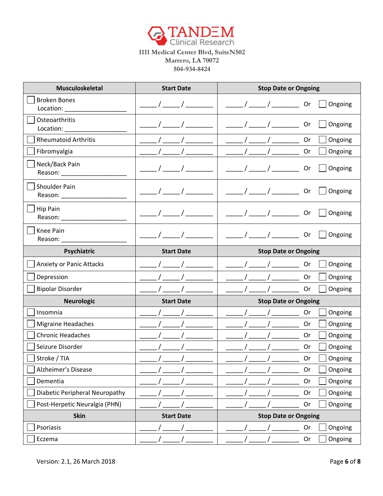

| Musculoskeletal                       | <b>Start Date</b> | <b>Stop Date or Ongoing</b> |
|---------------------------------------|-------------------|-----------------------------|
| <b>Broken Bones</b><br>Location: ____ |                   | $\sqrt{1}$<br>Ongoing<br>0r |
| Osteoarthritis<br>Location:           |                   | Ongoing<br><b>Or</b>        |
| <b>Rheumatoid Arthritis</b>           |                   | Ongoing<br>Or               |
| Fibromyalgia                          |                   | Ongoing<br><b>Or</b>        |
| Neck/Back Pain<br>Reason: ______      |                   | Ongoing<br><b>Or</b>        |
| Shoulder Pain<br>Reason: ______       |                   | Ongoing<br>0r               |
| Hip Pain<br>Reason: _________         |                   | Ongoing<br><b>Or</b>        |
| Knee Pain<br>Reason:                  |                   | Ongoing<br>0r               |
| Psychiatric                           | <b>Start Date</b> | <b>Stop Date or Ongoing</b> |
| <b>Anxiety or Panic Attacks</b>       |                   | <b>Or</b><br>Ongoing        |
| Depression                            |                   | Ongoing<br>Or               |
| <b>Bipolar Disorder</b>               |                   | Ongoing<br>Or               |
| <b>Neurologic</b>                     | <b>Start Date</b> | <b>Stop Date or Ongoing</b> |
| Insomnia                              |                   | Or<br>Ongoing               |
| <b>Migraine Headaches</b>             |                   | Ongoing<br><b>Or</b>        |
| <b>Chronic Headaches</b>              |                   | Ongoing<br><b>Or</b>        |
| Seizure Disorder                      |                   | Or<br>Ongoing               |
| Stroke / TIA                          |                   | Ongoing<br><b>Or</b>        |
| Alzheimer's Disease                   |                   | Or<br>Ongoing               |
| Dementia                              |                   | Or<br>Ongoing               |
| Diabetic Peripheral Neuropathy        |                   | Or<br>Ongoing               |
| Post-Herpetic Neuralgia (PHN)         |                   | Ongoing<br>Or               |
| <b>Skin</b>                           | <b>Start Date</b> | <b>Stop Date or Ongoing</b> |
| Psoriasis                             |                   | Ongoing<br>Or               |
| Eczema                                |                   | Or<br>Ongoing               |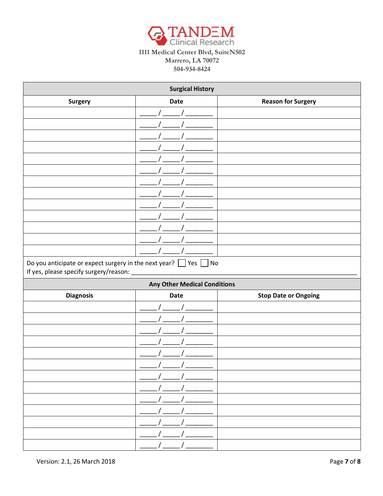

|                                                                                                                     | <b>Surgical History</b>             |                             |
|---------------------------------------------------------------------------------------------------------------------|-------------------------------------|-----------------------------|
| <b>Surgery</b>                                                                                                      | Date                                | <b>Reason for Surgery</b>   |
|                                                                                                                     |                                     |                             |
|                                                                                                                     |                                     |                             |
|                                                                                                                     |                                     |                             |
|                                                                                                                     |                                     |                             |
|                                                                                                                     |                                     |                             |
|                                                                                                                     |                                     |                             |
|                                                                                                                     |                                     |                             |
|                                                                                                                     |                                     |                             |
|                                                                                                                     |                                     |                             |
|                                                                                                                     |                                     |                             |
|                                                                                                                     |                                     |                             |
|                                                                                                                     |                                     |                             |
|                                                                                                                     |                                     |                             |
| Do you anticipate or expect surgery in the next year? $\Box$ Yes $\Box$<br>If yes, please specify surgery/reason: _ | N <sub>O</sub>                      |                             |
|                                                                                                                     | <b>Any Other Medical Conditions</b> |                             |
| <b>Diagnosis</b>                                                                                                    | <b>Date</b>                         | <b>Stop Date or Ongoing</b> |
|                                                                                                                     |                                     |                             |
|                                                                                                                     |                                     |                             |
|                                                                                                                     |                                     |                             |
|                                                                                                                     |                                     |                             |
|                                                                                                                     |                                     |                             |
|                                                                                                                     |                                     |                             |
|                                                                                                                     |                                     |                             |
|                                                                                                                     |                                     |                             |
|                                                                                                                     |                                     |                             |
|                                                                                                                     |                                     |                             |
|                                                                                                                     |                                     |                             |
|                                                                                                                     |                                     |                             |
|                                                                                                                     | $\frac{1}{2}$ $\frac{1}{2}$         |                             |